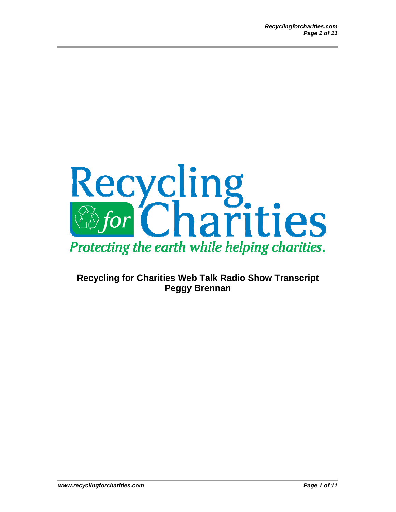

## **Recycling for Charities Web Talk Radio Show Transcript Peggy Brennan**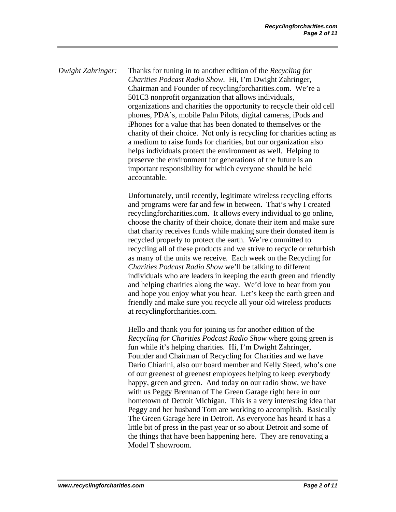*Dwight Zahringer:* Thanks for tuning in to another edition of the *Recycling for Charities Podcast Radio Show*. Hi, I'm Dwight Zahringer, Chairman and Founder of recyclingforcharities.com. We're a 501C3 nonprofit organization that allows individuals, organizations and charities the opportunity to recycle their old cell phones, PDA's, mobile Palm Pilots, digital cameras, iPods and iPhones for a value that has been donated to themselves or the charity of their choice. Not only is recycling for charities acting as a medium to raise funds for charities, but our organization also helps individuals protect the environment as well. Helping to preserve the environment for generations of the future is an important responsibility for which everyone should be held accountable.

> Unfortunately, until recently, legitimate wireless recycling efforts and programs were far and few in between. That's why I created recyclingforcharities.com. It allows every individual to go online, choose the charity of their choice, donate their item and make sure that charity receives funds while making sure their donated item is recycled properly to protect the earth. We're committed to recycling all of these products and we strive to recycle or refurbish as many of the units we receive. Each week on the Recycling for *Charities Podcast Radio Show* we'll be talking to different individuals who are leaders in keeping the earth green and friendly and helping charities along the way. We'd love to hear from you and hope you enjoy what you hear. Let's keep the earth green and friendly and make sure you recycle all your old wireless products at recyclingforcharities.com.

> Hello and thank you for joining us for another edition of the *Recycling for Charities Podcast Radio Show* where going green is fun while it's helping charities. Hi, I'm Dwight Zahringer, Founder and Chairman of Recycling for Charities and we have Dario Chiarini, also our board member and Kelly Steed, who's one of our greenest of greenest employees helping to keep everybody happy, green and green. And today on our radio show, we have with us Peggy Brennan of The Green Garage right here in our hometown of Detroit Michigan. This is a very interesting idea that Peggy and her husband Tom are working to accomplish. Basically The Green Garage here in Detroit. As everyone has heard it has a little bit of press in the past year or so about Detroit and some of the things that have been happening here. They are renovating a Model T showroom.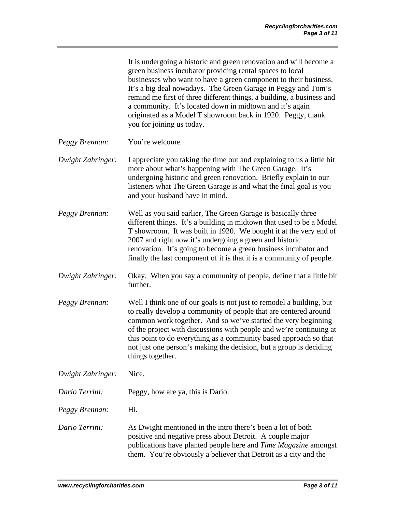| It is undergoing a historic and green renovation and will become a    |
|-----------------------------------------------------------------------|
| green business incubator providing rental spaces to local             |
| businesses who want to have a green component to their business.      |
| It's a big deal nowadays. The Green Garage in Peggy and Tom's         |
| remind me first of three different things, a building, a business and |
| a community. It's located down in midtown and it's again              |
| originated as a Model T showroom back in 1920. Peggy, thank           |
| you for joining us today.                                             |

- *Peggy Brennan:* You're welcome.
- *Dwight Zahringer:* I appreciate you taking the time out and explaining to us a little bit more about what's happening with The Green Garage. It's undergoing historic and green renovation. Briefly explain to our listeners what The Green Garage is and what the final goal is you and your husband have in mind.
- *Peggy Brennan:* Well as you said earlier, The Green Garage is basically three different things. It's a building in midtown that used to be a Model T showroom. It was built in 1920. We bought it at the very end of 2007 and right now it's undergoing a green and historic renovation. It's going to become a green business incubator and finally the last component of it is that it is a community of people.
- *Dwight Zahringer:* Okay. When you say a community of people, define that a little bit further.
- *Peggy Brennan:* Well I think one of our goals is not just to remodel a building, but to really develop a community of people that are centered around common work together. And so we've started the very beginning of the project with discussions with people and we're continuing at this point to do everything as a community based approach so that not just one person's making the decision, but a group is deciding things together.
- *Dwight Zahringer:* Nice.
- *Dario Terrini:* Peggy, how are ya, this is Dario.
- *Peggy Brennan:* Hi.
- *Dario Terrini:* As Dwight mentioned in the intro there's been a lot of both positive and negative press about Detroit. A couple major publications have planted people here and *Time Magazine* amongst them. You're obviously a believer that Detroit as a city and the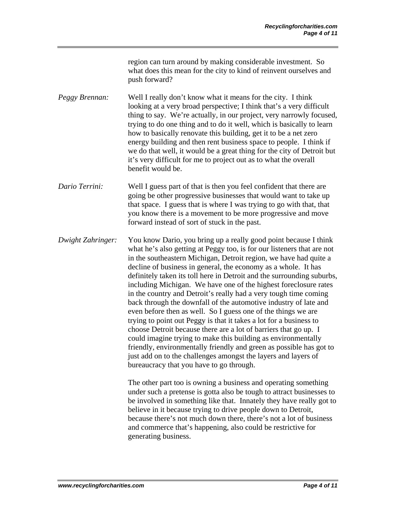region can turn around by making considerable investment. So what does this mean for the city to kind of reinvent ourselves and push forward?

*Peggy Brennan:* Well I really don't know what it means for the city. I think looking at a very broad perspective; I think that's a very difficult thing to say. We're actually, in our project, very narrowly focused, trying to do one thing and to do it well, which is basically to learn how to basically renovate this building, get it to be a net zero energy building and then rent business space to people. I think if we do that well, it would be a great thing for the city of Detroit but it's very difficult for me to project out as to what the overall benefit would be.

- *Dario Terrini:* Well I guess part of that is then you feel confident that there are going be other progressive businesses that would want to take up that space. I guess that is where I was trying to go with that, that you know there is a movement to be more progressive and move forward instead of sort of stuck in the past.
- *Dwight Zahringer:* You know Dario, you bring up a really good point because I think what he's also getting at Peggy too, is for our listeners that are not in the southeastern Michigan, Detroit region, we have had quite a decline of business in general, the economy as a whole. It has definitely taken its toll here in Detroit and the surrounding suburbs, including Michigan. We have one of the highest foreclosure rates in the country and Detroit's really had a very tough time coming back through the downfall of the automotive industry of late and even before then as well. So I guess one of the things we are trying to point out Peggy is that it takes a lot for a business to choose Detroit because there are a lot of barriers that go up. I could imagine trying to make this building as environmentally friendly, environmentally friendly and green as possible has got to just add on to the challenges amongst the layers and layers of bureaucracy that you have to go through.

The other part too is owning a business and operating something under such a pretense is gotta also be tough to attract businesses to be involved in something like that. Innately they have really got to believe in it because trying to drive people down to Detroit, because there's not much down there, there's not a lot of business and commerce that's happening, also could be restrictive for generating business.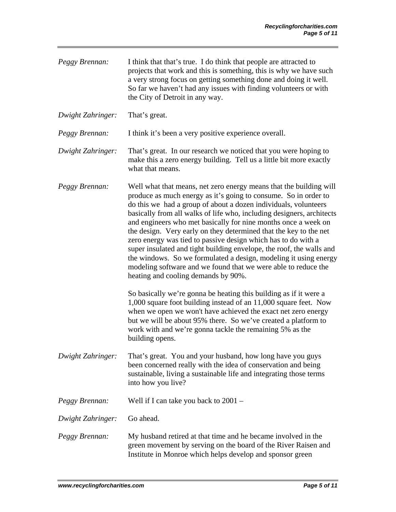*Peggy Brennan:* I think that that's true. I do think that people are attracted to projects that work and this is something, this is why we have such a very strong focus on getting something done and doing it well. So far we haven't had any issues with finding volunteers or with the City of Detroit in any way.

*Dwight Zahringer:* That's great.

*Peggy Brennan:* I think it's been a very positive experience overall.

*Dwight Zahringer:* That's great. In our research we noticed that you were hoping to make this a zero energy building. Tell us a little bit more exactly what that means.

*Peggy Brennan:* Well what that means, net zero energy means that the building will produce as much energy as it's going to consume. So in order to do this we had a group of about a dozen individuals, volunteers basically from all walks of life who, including designers, architects and engineers who met basically for nine months once a week on the design. Very early on they determined that the key to the net zero energy was tied to passive design which has to do with a super insulated and tight building envelope, the roof, the walls and the windows. So we formulated a design, modeling it using energy modeling software and we found that we were able to reduce the heating and cooling demands by 90%.

> So basically we're gonna be heating this building as if it were a 1,000 square foot building instead of an 11,000 square feet. Now when we open we won't have achieved the exact net zero energy but we will be about 95% there. So we've created a platform to work with and we're gonna tackle the remaining 5% as the building opens.

- *Dwight Zahringer:* That's great. You and your husband, how long have you guys been concerned really with the idea of conservation and being sustainable, living a sustainable life and integrating those terms into how you live?
- *Peggy Brennan:* Well if I can take you back to 2001 –

*Dwight Zahringer:* Go ahead.

*Peggy Brennan:* My husband retired at that time and he became involved in the green movement by serving on the board of the River Raisen and Institute in Monroe which helps develop and sponsor green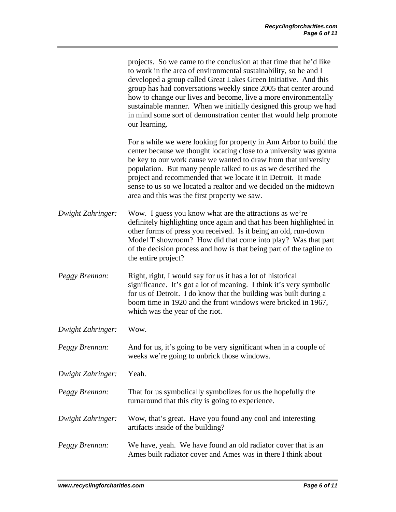|                   | projects. So we came to the conclusion at that time that he'd like<br>to work in the area of environmental sustainability, so he and I<br>developed a group called Great Lakes Green Initiative. And this<br>group has had conversations weekly since 2005 that center around<br>how to change our lives and become, live a more environmentally<br>sustainable manner. When we initially designed this group we had<br>in mind some sort of demonstration center that would help promote<br>our learning. |
|-------------------|------------------------------------------------------------------------------------------------------------------------------------------------------------------------------------------------------------------------------------------------------------------------------------------------------------------------------------------------------------------------------------------------------------------------------------------------------------------------------------------------------------|
|                   | For a while we were looking for property in Ann Arbor to build the<br>center because we thought locating close to a university was gonna<br>be key to our work cause we wanted to draw from that university<br>population. But many people talked to us as we described the<br>project and recommended that we locate it in Detroit. It made<br>sense to us so we located a realtor and we decided on the midtown<br>area and this was the first property we saw.                                          |
| Dwight Zahringer: | Wow. I guess you know what are the attractions as we're<br>definitely highlighting once again and that has been highlighted in<br>other forms of press you received. Is it being an old, run-down<br>Model T showroom? How did that come into play? Was that part<br>of the decision process and how is that being part of the tagline to<br>the entire project?                                                                                                                                           |
| Peggy Brennan:    | Right, right, I would say for us it has a lot of historical<br>significance. It's got a lot of meaning. I think it's very symbolic<br>for us of Detroit. I do know that the building was built during a<br>boom time in 1920 and the front windows were bricked in 1967,<br>which was the year of the riot.                                                                                                                                                                                                |
| Dwight Zahringer: | Wow.                                                                                                                                                                                                                                                                                                                                                                                                                                                                                                       |
| Peggy Brennan:    | And for us, it's going to be very significant when in a couple of<br>weeks we're going to unbrick those windows.                                                                                                                                                                                                                                                                                                                                                                                           |
| Dwight Zahringer: | Yeah.                                                                                                                                                                                                                                                                                                                                                                                                                                                                                                      |
| Peggy Brennan:    | That for us symbolically symbolizes for us the hopefully the<br>turnaround that this city is going to experience.                                                                                                                                                                                                                                                                                                                                                                                          |
| Dwight Zahringer: | Wow, that's great. Have you found any cool and interesting<br>artifacts inside of the building?                                                                                                                                                                                                                                                                                                                                                                                                            |
| Peggy Brennan:    | We have, yeah. We have found an old radiator cover that is an<br>Ames built radiator cover and Ames was in there I think about                                                                                                                                                                                                                                                                                                                                                                             |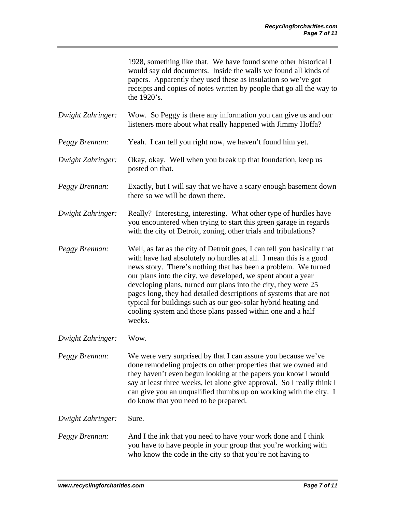1928, something like that. We have found some other historical I would say old documents. Inside the walls we found all kinds of papers. Apparently they used these as insulation so we've got receipts and copies of notes written by people that go all the way to the 1920's.

*Dwight Zahringer:* Wow. So Peggy is there any information you can give us and our listeners more about what really happened with Jimmy Hoffa?

- *Peggy Brennan:* Yeah. I can tell you right now, we haven't found him yet.
- *Dwight Zahringer:* Okay, okay. Well when you break up that foundation, keep us posted on that.
- *Peggy Brennan:* Exactly, but I will say that we have a scary enough basement down there so we will be down there.

*Dwight Zahringer:* Really? Interesting, interesting. What other type of hurdles have you encountered when trying to start this green garage in regards with the city of Detroit, zoning, other trials and tribulations?

- *Peggy Brennan:* Well, as far as the city of Detroit goes, I can tell you basically that with have had absolutely no hurdles at all. I mean this is a good news story. There's nothing that has been a problem. We turned our plans into the city, we developed, we spent about a year developing plans, turned our plans into the city, they were 25 pages long, they had detailed descriptions of systems that are not typical for buildings such as our geo-solar hybrid heating and cooling system and those plans passed within one and a half weeks.
- *Dwight Zahringer:* Wow.
- *Peggy Brennan:* We were very surprised by that I can assure you because we've done remodeling projects on other properties that we owned and they haven't even begun looking at the papers you know I would say at least three weeks, let alone give approval. So I really think I can give you an unqualified thumbs up on working with the city. I do know that you need to be prepared.

*Dwight Zahringer:* Sure.

*Peggy Brennan:* And I the ink that you need to have your work done and I think you have to have people in your group that you're working with who know the code in the city so that you're not having to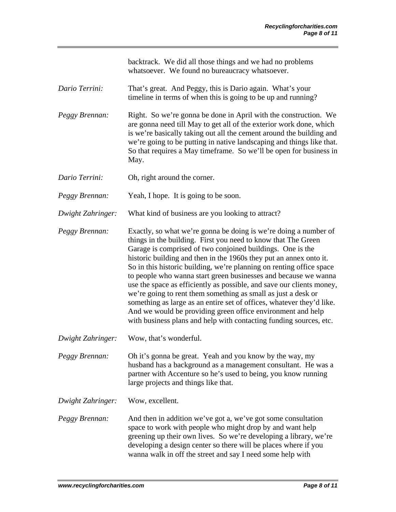backtrack. We did all those things and we had no problems whatsoever. We found no bureaucracy whatsoever.

- *Dario Terrini:* That's great. And Peggy, this is Dario again. What's your timeline in terms of when this is going to be up and running?
- *Peggy Brennan:* Right. So we're gonna be done in April with the construction. We are gonna need till May to get all of the exterior work done, which is we're basically taking out all the cement around the building and we're going to be putting in native landscaping and things like that. So that requires a May timeframe. So we'll be open for business in May.
- *Dario Terrini:* Oh, right around the corner.
- *Peggy Brennan:* Yeah, I hope. It is going to be soon.
- *Dwight Zahringer:* What kind of business are you looking to attract?

*Peggy Brennan:* Exactly, so what we're gonna be doing is we're doing a number of things in the building. First you need to know that The Green Garage is comprised of two conjoined buildings. One is the historic building and then in the 1960s they put an annex onto it. So in this historic building, we're planning on renting office space to people who wanna start green businesses and because we wanna use the space as efficiently as possible, and save our clients money, we're going to rent them something as small as just a desk or something as large as an entire set of offices, whatever they'd like. And we would be providing green office environment and help with business plans and help with contacting funding sources, etc.

*Dwight Zahringer:* Wow, that's wonderful.

*Peggy Brennan:* Oh it's gonna be great. Yeah and you know by the way, my husband has a background as a management consultant. He was a partner with Accenture so he's used to being, you know running large projects and things like that.

*Dwight Zahringer:* Wow, excellent.

*Peggy Brennan:* And then in addition we've got a, we've got some consultation space to work with people who might drop by and want help greening up their own lives. So we're developing a library, we're developing a design center so there will be places where if you wanna walk in off the street and say I need some help with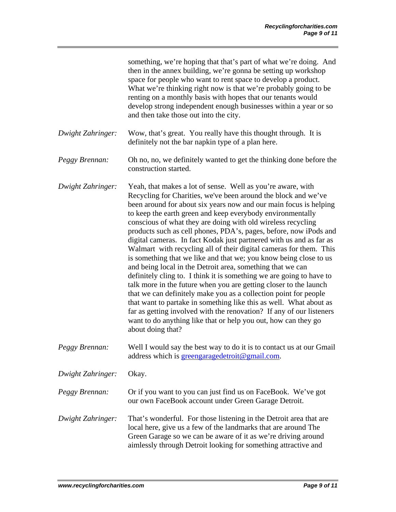|                   | something, we're hoping that that's part of what we're doing. And<br>then in the annex building, we're gonna be setting up workshop<br>space for people who want to rent space to develop a product.<br>What we're thinking right now is that we're probably going to be<br>renting on a monthly basis with hopes that our tenants would<br>develop strong independent enough businesses within a year or so<br>and then take those out into the city.                                                                                                                                                                                                                                                                                                                                                                                                                                                                                                                                                                                                                                                                                      |
|-------------------|---------------------------------------------------------------------------------------------------------------------------------------------------------------------------------------------------------------------------------------------------------------------------------------------------------------------------------------------------------------------------------------------------------------------------------------------------------------------------------------------------------------------------------------------------------------------------------------------------------------------------------------------------------------------------------------------------------------------------------------------------------------------------------------------------------------------------------------------------------------------------------------------------------------------------------------------------------------------------------------------------------------------------------------------------------------------------------------------------------------------------------------------|
| Dwight Zahringer: | Wow, that's great. You really have this thought through. It is<br>definitely not the bar napkin type of a plan here.                                                                                                                                                                                                                                                                                                                                                                                                                                                                                                                                                                                                                                                                                                                                                                                                                                                                                                                                                                                                                        |
| Peggy Brennan:    | Oh no, no, we definitely wanted to get the thinking done before the<br>construction started.                                                                                                                                                                                                                                                                                                                                                                                                                                                                                                                                                                                                                                                                                                                                                                                                                                                                                                                                                                                                                                                |
| Dwight Zahringer: | Yeah, that makes a lot of sense. Well as you're aware, with<br>Recycling for Charities, we've been around the block and we've<br>been around for about six years now and our main focus is helping<br>to keep the earth green and keep everybody environmentally<br>conscious of what they are doing with old wireless recycling<br>products such as cell phones, PDA's, pages, before, now iPods and<br>digital cameras. In fact Kodak just partnered with us and as far as<br>Walmart with recycling all of their digital cameras for them. This<br>is something that we like and that we; you know being close to us<br>and being local in the Detroit area, something that we can<br>definitely cling to. I think it is something we are going to have to<br>talk more in the future when you are getting closer to the launch<br>that we can definitely make you as a collection point for people<br>that want to partake in something like this as well. What about as<br>far as getting involved with the renovation? If any of our listeners<br>want to do anything like that or help you out, how can they go<br>about doing that? |
| Peggy Brennan:    | Well I would say the best way to do it is to contact us at our Gmail<br>address which is greengaragedetroit@gmail.com.                                                                                                                                                                                                                                                                                                                                                                                                                                                                                                                                                                                                                                                                                                                                                                                                                                                                                                                                                                                                                      |
| Dwight Zahringer: | Okay.                                                                                                                                                                                                                                                                                                                                                                                                                                                                                                                                                                                                                                                                                                                                                                                                                                                                                                                                                                                                                                                                                                                                       |
| Peggy Brennan:    | Or if you want to you can just find us on FaceBook. We've got<br>our own FaceBook account under Green Garage Detroit.                                                                                                                                                                                                                                                                                                                                                                                                                                                                                                                                                                                                                                                                                                                                                                                                                                                                                                                                                                                                                       |
| Dwight Zahringer: | That's wonderful. For those listening in the Detroit area that are<br>local here, give us a few of the landmarks that are around The<br>Green Garage so we can be aware of it as we're driving around<br>aimlessly through Detroit looking for something attractive and                                                                                                                                                                                                                                                                                                                                                                                                                                                                                                                                                                                                                                                                                                                                                                                                                                                                     |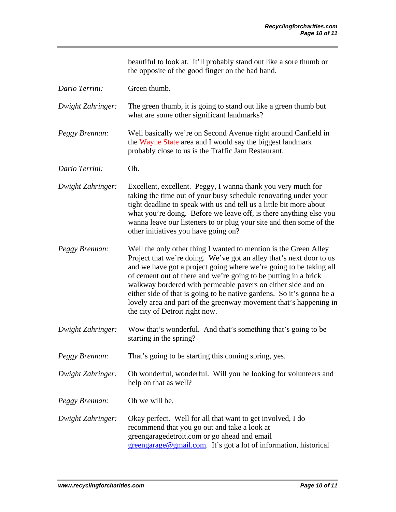beautiful to look at. It'll probably stand out like a sore thumb or the opposite of the good finger on the bad hand.

*Dario Terrini:* Green thumb.

*Dwight Zahringer:* The green thumb, it is going to stand out like a green thumb but what are some other significant landmarks?

*Peggy Brennan:* Well basically we're on Second Avenue right around Canfield in the Wayne State area and I would say the biggest landmark probably close to us is the Traffic Jam Restaurant.

*Dario Terrini:* Oh.

*Dwight Zahringer:* Excellent, excellent. Peggy, I wanna thank you very much for taking the time out of your busy schedule renovating under your tight deadline to speak with us and tell us a little bit more about what you're doing. Before we leave off, is there anything else you wanna leave our listeners to or plug your site and then some of the other initiatives you have going on?

*Peggy Brennan:* Well the only other thing I wanted to mention is the Green Alley Project that we're doing. We've got an alley that's next door to us and we have got a project going where we're going to be taking all of cement out of there and we're going to be putting in a brick walkway bordered with permeable pavers on either side and on either side of that is going to be native gardens. So it's gonna be a lovely area and part of the greenway movement that's happening in the city of Detroit right now.

*Dwight Zahringer:* Wow that's wonderful. And that's something that's going to be starting in the spring?

*Peggy Brennan:* That's going to be starting this coming spring, yes.

*Dwight Zahringer:* Oh wonderful, wonderful. Will you be looking for volunteers and help on that as well?

*Peggy Brennan:* Oh we will be.

*Dwight Zahringer:* Okay perfect. Well for all that want to get involved, I do recommend that you go out and take a look at greengaragedetroit.com or go ahead and email [greengarage@gmail.com.](mailto:greengarage@gmail.com) It's got a lot of information, historical